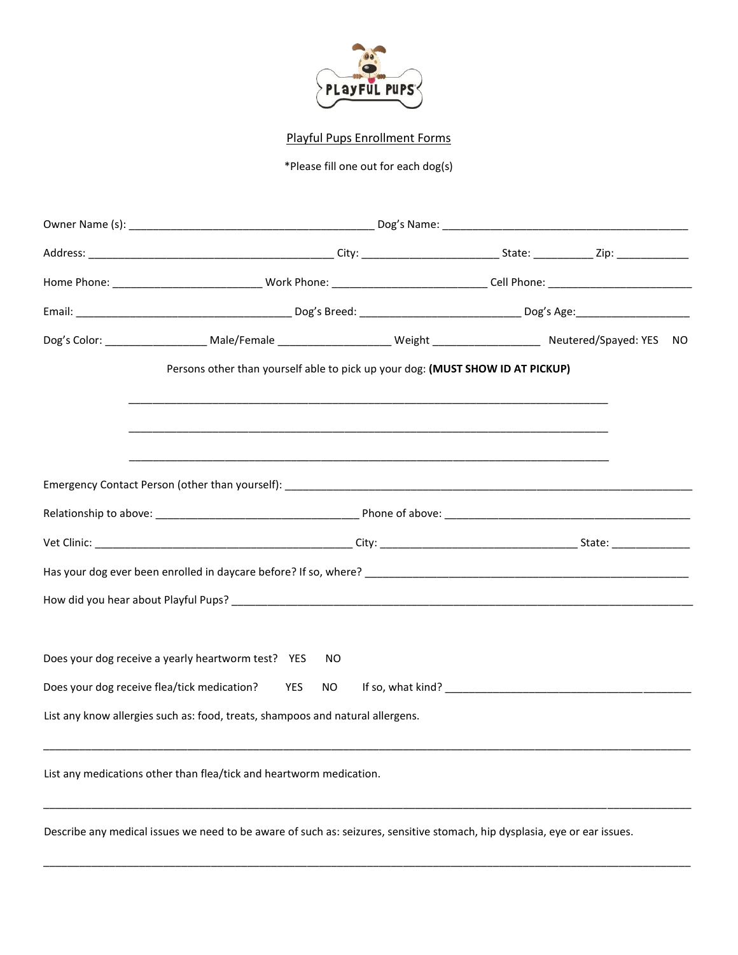

Playful Pups Enrollment Forms

\*Please fill one out for each dog(s)

| Persons other than yourself able to pick up your dog: (MUST SHOW ID AT PICKUP)                                             |  |  |  |  |
|----------------------------------------------------------------------------------------------------------------------------|--|--|--|--|
|                                                                                                                            |  |  |  |  |
|                                                                                                                            |  |  |  |  |
|                                                                                                                            |  |  |  |  |
|                                                                                                                            |  |  |  |  |
|                                                                                                                            |  |  |  |  |
| Does your dog receive a yearly heartworm test? YES<br>NO.                                                                  |  |  |  |  |
| Does your dog receive flea/tick medication?<br>YES<br>NO.                                                                  |  |  |  |  |
| List any know allergies such as: food, treats, shampoos and natural allergens.                                             |  |  |  |  |
| List any medications other than flea/tick and heartworm medication.                                                        |  |  |  |  |
| Describe any medical issues we need to be aware of such as: seizures, sensitive stomach, hip dysplasia, eye or ear issues. |  |  |  |  |

\_\_\_\_\_\_\_\_\_\_\_\_\_\_\_\_\_\_\_\_\_\_\_\_\_\_\_\_\_\_\_\_\_\_\_\_\_\_\_\_\_\_\_\_\_\_\_\_\_\_\_\_\_\_\_\_\_\_\_\_\_\_\_\_\_\_\_\_\_\_\_\_\_\_\_\_\_\_\_\_\_\_\_\_\_\_\_\_\_\_\_\_\_\_\_\_\_\_\_\_\_\_\_\_\_\_\_\_